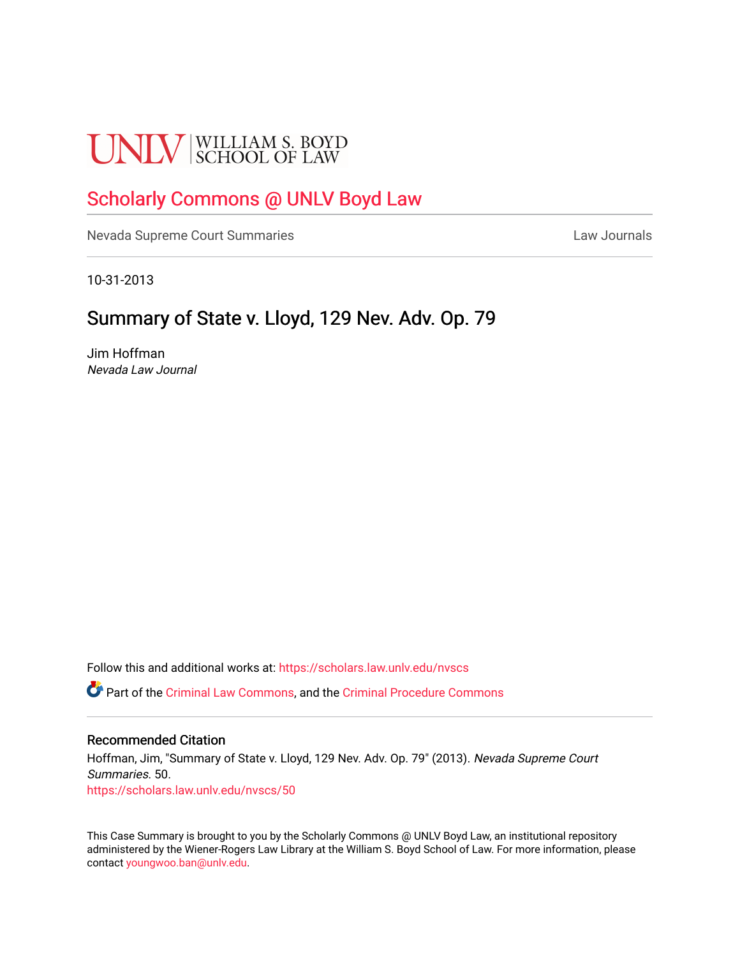# **UNLV** SCHOOL OF LAW

## [Scholarly Commons @ UNLV Boyd Law](https://scholars.law.unlv.edu/)

[Nevada Supreme Court Summaries](https://scholars.law.unlv.edu/nvscs) **Law Journals** Law Journals

10-31-2013

### Summary of State v. Lloyd, 129 Nev. Adv. Op. 79

Jim Hoffman Nevada Law Journal

Follow this and additional works at: [https://scholars.law.unlv.edu/nvscs](https://scholars.law.unlv.edu/nvscs?utm_source=scholars.law.unlv.edu%2Fnvscs%2F50&utm_medium=PDF&utm_campaign=PDFCoverPages)

Part of the [Criminal Law Commons,](http://network.bepress.com/hgg/discipline/912?utm_source=scholars.law.unlv.edu%2Fnvscs%2F50&utm_medium=PDF&utm_campaign=PDFCoverPages) and the [Criminal Procedure Commons](http://network.bepress.com/hgg/discipline/1073?utm_source=scholars.law.unlv.edu%2Fnvscs%2F50&utm_medium=PDF&utm_campaign=PDFCoverPages)

#### Recommended Citation

Hoffman, Jim, "Summary of State v. Lloyd, 129 Nev. Adv. Op. 79" (2013). Nevada Supreme Court Summaries. 50. [https://scholars.law.unlv.edu/nvscs/50](https://scholars.law.unlv.edu/nvscs/50?utm_source=scholars.law.unlv.edu%2Fnvscs%2F50&utm_medium=PDF&utm_campaign=PDFCoverPages) 

This Case Summary is brought to you by the Scholarly Commons @ UNLV Boyd Law, an institutional repository administered by the Wiener-Rogers Law Library at the William S. Boyd School of Law. For more information, please contact [youngwoo.ban@unlv.edu](mailto:youngwoo.ban@unlv.edu).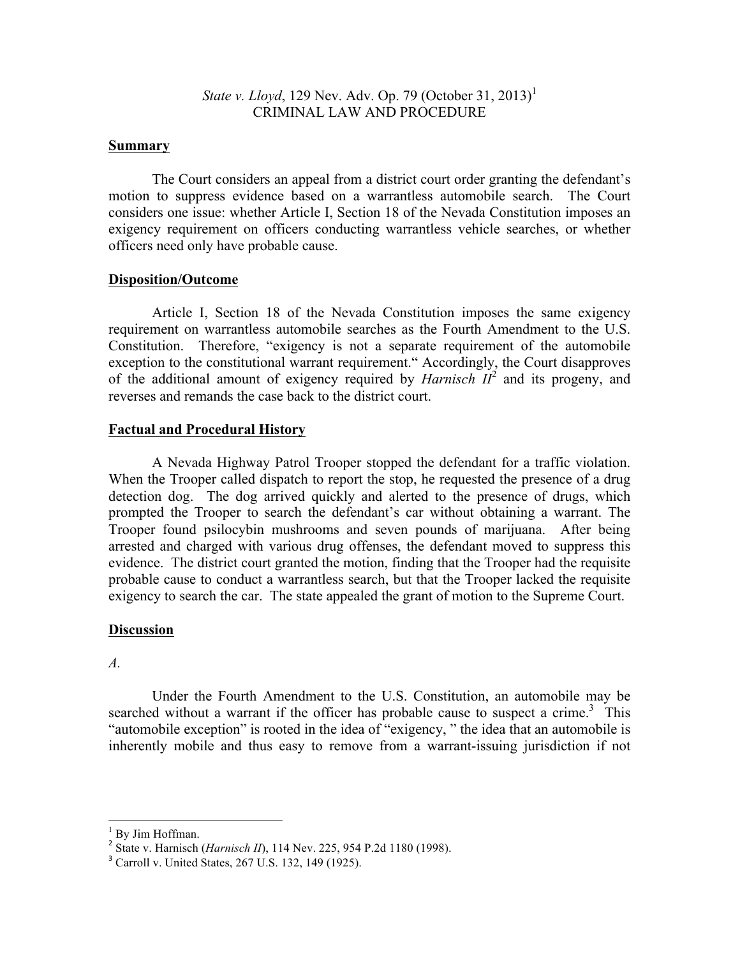*State v. Lloyd*, 129 Nev. Adv. Op. 79 (October 31, 2013)<sup>1</sup> CRIMINAL LAW AND PROCEDURE

#### **Summary**

The Court considers an appeal from a district court order granting the defendant's motion to suppress evidence based on a warrantless automobile search. The Court considers one issue: whether Article I, Section 18 of the Nevada Constitution imposes an exigency requirement on officers conducting warrantless vehicle searches, or whether officers need only have probable cause.

#### **Disposition/Outcome**

Article I, Section 18 of the Nevada Constitution imposes the same exigency requirement on warrantless automobile searches as the Fourth Amendment to the U.S. Constitution. Therefore, "exigency is not a separate requirement of the automobile exception to the constitutional warrant requirement." Accordingly, the Court disapproves of the additional amount of exigency required by *Harnisch*  $II^2$  and its progeny, and reverses and remands the case back to the district court.

#### **Factual and Procedural History**

A Nevada Highway Patrol Trooper stopped the defendant for a traffic violation. When the Trooper called dispatch to report the stop, he requested the presence of a drug detection dog. The dog arrived quickly and alerted to the presence of drugs, which prompted the Trooper to search the defendant's car without obtaining a warrant. The Trooper found psilocybin mushrooms and seven pounds of marijuana. After being arrested and charged with various drug offenses, the defendant moved to suppress this evidence. The district court granted the motion, finding that the Trooper had the requisite probable cause to conduct a warrantless search, but that the Trooper lacked the requisite exigency to search the car. The state appealed the grant of motion to the Supreme Court.

#### **Discussion**

#### *A.*

Under the Fourth Amendment to the U.S. Constitution, an automobile may be searched without a warrant if the officer has probable cause to suspect a crime.<sup>3</sup> This "automobile exception" is rooted in the idea of "exigency, " the idea that an automobile is inherently mobile and thus easy to remove from a warrant-issuing jurisdiction if not

<sup>&</sup>lt;sup>1</sup> By Jim Hoffman.<br><sup>2</sup> State v. Harnisch (*Harnisch II*), 114 Nev. 225, 954 P.2d 1180 (1998).

<sup>&</sup>lt;sup>3</sup> Carroll v. United States, 267 U.S. 132, 149 (1925).